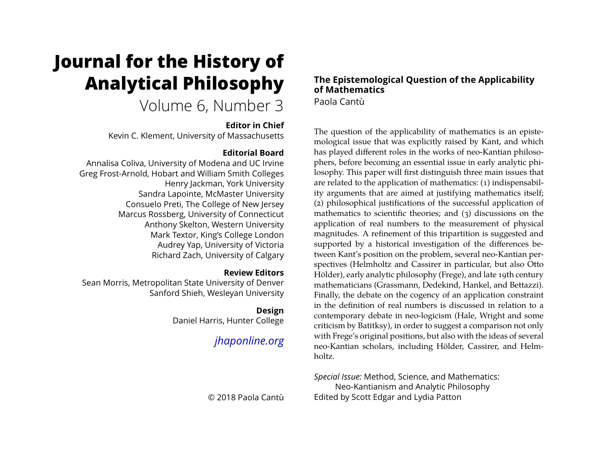# **Journal for the History of Analytical Philosophy**

# Volume 6, Number 3

# **Editor in Chief**

Kevin C. Klement, University of Massachusetts

# **Editorial Board**

Annalisa Coliva, University of Modena and UC Irvine Greg Frost-Arnold, Hobart and William Smith Colleges Henry Jackman, York University Sandra Lapointe, McMaster University Consuelo Preti, The College of New Jersey Marcus Rossberg, University of Connecticut Anthony Skelton, Western University Mark Textor, King's College London Audrey Yap, University of Victoria Richard Zach, University of Calgary

# **Review Editors**

Sean Morris, Metropolitan State University of Denver Sanford Shieh, Wesleyan University

# **Design**

Daniel Harris, Hunter College

# *[jhaponline.org](https://jhaponline.org)*

© 2018 Paola Cantù

## **The Epistemological Question of the Applicability of Mathematics** Paola Cantù

The question of the applicability of mathematics is an epistemological issue that was explicitly raised by Kant, and which has played different roles in the works of neo-Kantian philosophers, before becoming an essential issue in early analytic philosophy. This paper will first distinguish three main issues that are related to the application of mathematics: (1) indispensability arguments that are aimed at justifying mathematics itself; (2) philosophical justifications of the successful application of mathematics to scientific theories; and (3) discussions on the application of real numbers to the measurement of physical magnitudes. A refinement of this tripartition is suggested and supported by a historical investigation of the differences between Kant's position on the problem, several neo-Kantian perspectives (Helmholtz and Cassirer in particular, but also Otto Hölder), early analytic philosophy (Frege), and late 19th century mathematicians (Grassmann, Dedekind, Hankel, and Bettazzi). Finally, the debate on the cogency of an application constraint in the definition of real numbers is discussed in relation to a contemporary debate in neo-logicism (Hale, Wright and some criticism by Batitksy), in order to suggest a comparison not only with Frege's original positions, but also with the ideas of several neo-Kantian scholars, including Hölder, Cassirer, and Helmholtz.

*Special Issue:* Method, Science, and Mathematics: Neo-Kantianism and Analytic Philosophy Edited by Scott Edgar and Lydia Patton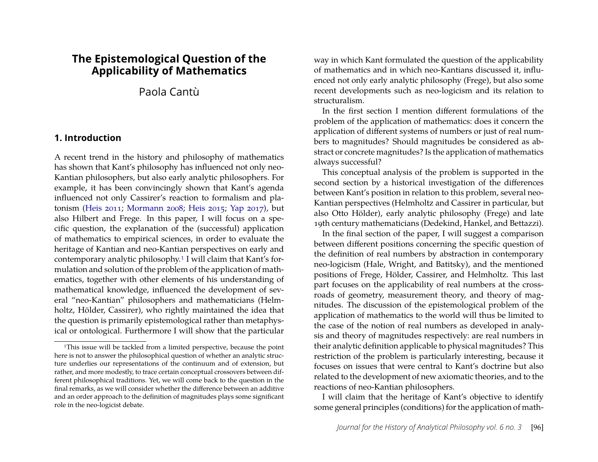# **The Epistemological Question of the Applicability of Mathematics**

Paola Cantù

#### **1. Introduction**

A recent trend in the history and philosophy of mathematics has shown that Kant's philosophy has influenced not only neo-Kantian philosophers, but also early analytic philosophers. For example, it has been convincingly shown that Kant's agenda influenced not only Cassirer's reaction to formalism and platonism [\(Heis](#page-18-0) [2011;](#page-18-0) [Mormann](#page-18-1) [2008;](#page-18-1) [Heis](#page-18-2) [2015;](#page-18-2) [Yap](#page-19-0) [2017\)](#page-19-0), but also Hilbert and Frege. In this paper, I will focus on a specific question, the explanation of the (successful) application of mathematics to empirical sciences, in order to evaluate the heritage of Kantian and neo-Kantian perspectives on early and contemporary analytic philosophy[.1](#page-1-0) I will claim that Kant's formulation and solution of the problem of the application of mathematics, together with other elements of his understanding of mathematical knowledge, influenced the development of several "neo-Kantian" philosophers and mathematicians (Helmholtz, Hölder, Cassirer), who rightly maintained the idea that the question is primarily epistemological rather than metaphysical or ontological. Furthermore I will show that the particular way in which Kant formulated the question of the applicability of mathematics and in which neo-Kantians discussed it, influenced not only early analytic philosophy (Frege), but also some recent developments such as neo-logicism and its relation to structuralism.

In the first section I mention different formulations of the problem of the application of mathematics: does it concern the application of different systems of numbers or just of real numbers to magnitudes? Should magnitudes be considered as abstract or concrete magnitudes? Is the application of mathematics always successful?

This conceptual analysis of the problem is supported in the second section by a historical investigation of the differences between Kant's position in relation to this problem, several neo-Kantian perspectives (Helmholtz and Cassirer in particular, but also Otto Hölder), early analytic philosophy (Frege) and late 19th century mathematicians (Dedekind, Hankel, and Bettazzi).

In the final section of the paper, I will suggest a comparison between different positions concerning the specific question of the definition of real numbers by abstraction in contemporary neo-logicism (Hale, Wright, and Batitsky), and the mentioned positions of Frege, Hölder, Cassirer, and Helmholtz. This last part focuses on the applicability of real numbers at the crossroads of geometry, measurement theory, and theory of magnitudes. The discussion of the epistemological problem of the application of mathematics to the world will thus be limited to the case of the notion of real numbers as developed in analysis and theory of magnitudes respectively: are real numbers in their analytic definition applicable to physical magnitudes? This restriction of the problem is particularly interesting, because it focuses on issues that were central to Kant's doctrine but also related to the development of new axiomatic theories, and to the reactions of neo-Kantian philosophers.

I will claim that the heritage of Kant's objective to identify some general principles (conditions) for the application of math-

<span id="page-1-0"></span><sup>&</sup>lt;sup>1</sup>This issue will be tackled from a limited perspective, because the point here is not to answer the philosophical question of whether an analytic structure underlies our representations of the continuum and of extension, but rather, and more modestly, to trace certain conceptual crossovers between different philosophical traditions. Yet, we will come back to the question in the final remarks, as we will consider whether the difference between an additive and an order approach to the definition of magnitudes plays some significant role in the neo-logicist debate.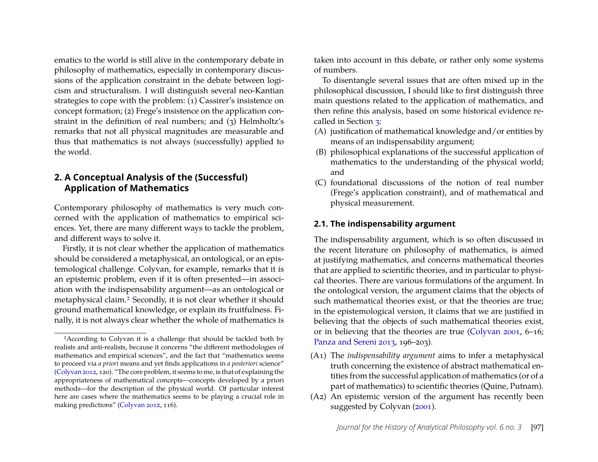ematics to the world is still alive in the contemporary debate in philosophy of mathematics, especially in contemporary discussions of the application constraint in the debate between logicism and structuralism. I will distinguish several neo-Kantian strategies to cope with the problem: (1) Cassirer's insistence on concept formation; (2) Frege's insistence on the application constraint in the definition of real numbers; and (3) Helmholtz's remarks that not all physical magnitudes are measurable and thus that mathematics is not always (successfully) applied to the world.

#### **2. A Conceptual Analysis of the (Successful) Application of Mathematics**

Contemporary philosophy of mathematics is very much concerned with the application of mathematics to empirical sciences. Yet, there are many different ways to tackle the problem, and different ways to solve it.

Firstly, it is not clear whether the application of mathematics should be considered a metaphysical, an ontological, or an epistemological challenge. Colyvan, for example, remarks that it is an epistemic problem, even if it is often presented—in association with the indispensability argument—as an ontological or metaphysical claim[.2](#page-2-0) Secondly, it is not clear whether it should ground mathematical knowledge, or explain its fruitfulness. Finally, it is not always clear whether the whole of mathematics is taken into account in this debate, or rather only some systems of numbers.

To disentangle several issues that are often mixed up in the philosophical discussion, I should like to first distinguish three main questions related to the application of mathematics, and then refine this analysis, based on some historical evidence recalled in Section [3:](#page-4-0)

- <span id="page-2-1"></span>(A) justification of mathematical knowledge and/or entities by means of an indispensability argument;
- <span id="page-2-2"></span>(B) philosophical explanations of the successful application of mathematics to the understanding of the physical world; and
- <span id="page-2-3"></span>(C) foundational discussions of the notion of real number (Frege's application constraint), and of mathematical and physical measurement.

#### **2.1. The indispensability argument**

The indispensability argument, which is so often discussed in the recent literature on philosophy of mathematics, is aimed at justifying mathematics, and concerns mathematical theories that are applied to scientific theories, and in particular to physical theories. There are various formulations of the argument. In the ontological version, the argument claims that the objects of such mathematical theories exist, or that the theories are true; in the epistemological version, it claims that we are justified in believing that the objects of such mathematical theories exist, or in believing that the theories are true [\(Colyvan](#page-16-1) [2001,](#page-16-1) 6–16; [Panza and Sereni](#page-18-3) [2013,](#page-18-3) 196–203).

- (A1) The *indispensability argument* aims to infer a metaphysical truth concerning the existence of abstract mathematical entities from the successful application of mathematics (or of a part of mathematics) to scientific theories (Quine, Putnam).
- <span id="page-2-4"></span>(A2) An epistemic version of the argument has recently been suggested by Colyvan [\(2001\)](#page-16-1).

<span id="page-2-0"></span><sup>2</sup>According to Colyvan it is a challenge that should be tackled both by realists and anti-realists, because it concerns "the different methodologies of mathematics and empirical sciences", and the fact that "mathematics seems to proceed via *a priori* means and yet finds applications in *a posteriori* science" [\(Colyvan](#page-16-0) [2012,](#page-16-0) 120). "The core problem, it seems to me, is that of explaining the appropriateness of mathematical concepts—concepts developed by a priori methods—for the description of the physical world. Of particular interest here are cases where the mathematics seems to be playing a crucial role in making predictions" [\(Colyvan](#page-16-0) [2012,](#page-16-0) 116).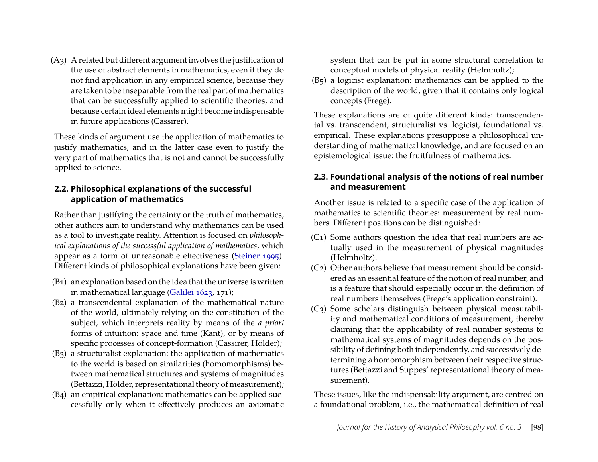<span id="page-3-9"></span>(A3) A related but different argument involves the justification of the use of abstract elements in mathematics, even if they do not find application in any empirical science, because they are taken to be inseparable from the real part of mathematics that can be successfully applied to scientific theories, and because certain ideal elements might become indispensable in future applications (Cassirer).

These kinds of argument use the application of mathematics to justify mathematics, and in the latter case even to justify the very part of mathematics that is not and cannot be successfully applied to science.

## <span id="page-3-7"></span>**2.2. Philosophical explanations of the successful application of mathematics**

Rather than justifying the certainty or the truth of mathematics, other authors aim to understand why mathematics can be used as a tool to investigate reality. Attention is focused on *philosophical explanations of the successful application of mathematics*, which appear as a form of unreasonable effectiveness [\(Steiner](#page-19-1) [1995\)](#page-19-1). Different kinds of philosophical explanations have been given:

- <span id="page-3-1"></span>(B1) an explanation based on the idea that the universe is written in mathematical language [\(Galilei](#page-17-0) [1623,](#page-17-0) 171);
- <span id="page-3-0"></span>(B2) a transcendental explanation of the mathematical nature of the world, ultimately relying on the constitution of the subject, which interprets reality by means of the *a priori* forms of intuition: space and time (Kant), or by means of specific processes of concept-formation (Cassirer, Hölder);
- <span id="page-3-6"></span>(B3) a structuralist explanation: the application of mathematics to the world is based on similarities (homomorphisms) between mathematical structures and systems of magnitudes (Bettazzi, Hölder, representational theory of measurement);
- <span id="page-3-4"></span>(B4) an empirical explanation: mathematics can be applied successfully only when it effectively produces an axiomatic

system that can be put in some structural correlation to conceptual models of physical reality (Helmholtz);

<span id="page-3-3"></span>(B5) a logicist explanation: mathematics can be applied to the description of the world, given that it contains only logical concepts (Frege).

These explanations are of quite different kinds: transcendental vs. transcendent, structuralist vs. logicist, foundational vs. empirical. These explanations presuppose a philosophical understanding of mathematical knowledge, and are focused on an epistemological issue: the fruitfulness of mathematics.

## **2.3. Foundational analysis of the notions of real number and measurement**

Another issue is related to a specific case of the application of mathematics to scientific theories: measurement by real numbers. Different positions can be distinguished:

- <span id="page-3-5"></span>(C1) Some authors question the idea that real numbers are actually used in the measurement of physical magnitudes (Helmholtz).
- <span id="page-3-8"></span>(C2) Other authors believe that measurement should be considered as an essential feature of the notion of real number, and is a feature that should especially occur in the definition of real numbers themselves (Frege's application constraint).
- <span id="page-3-2"></span>(C3) Some scholars distinguish between physical measurability and mathematical conditions of measurement, thereby claiming that the applicability of real number systems to mathematical systems of magnitudes depends on the possibility of defining both independently, and successively determining a homomorphism between their respective structures (Bettazzi and Suppes' representational theory of measurement).

These issues, like the indispensability argument, are centred on a foundational problem, i.e., the mathematical definition of real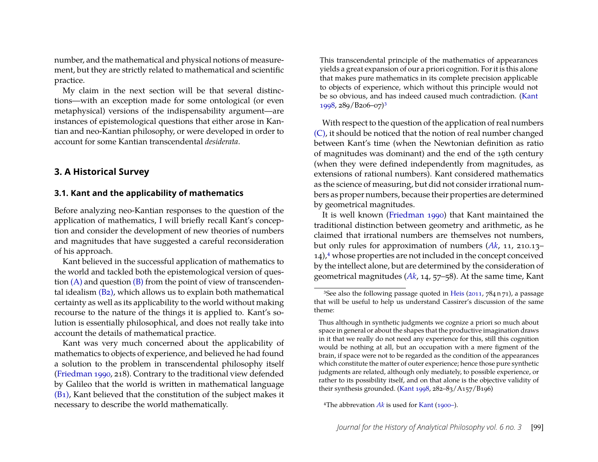number, and the mathematical and physical notions of measurement, but they are strictly related to mathematical and scientific practice.

My claim in the next section will be that several distinctions—with an exception made for some ontological (or even metaphysical) versions of the indispensability argument—are instances of epistemological questions that either arose in Kantian and neo-Kantian philosophy, or were developed in order to account for some Kantian transcendental *desiderata*.

#### <span id="page-4-0"></span>**3. A Historical Survey**

#### **3.1. Kant and the applicability of mathematics**

Before analyzing neo-Kantian responses to the question of the application of mathematics, I will briefly recall Kant's conception and consider the development of new theories of numbers and magnitudes that have suggested a careful reconsideration of his approach.

Kant believed in the successful application of mathematics to the world and tackled both the epistemological version of question  $(A)$  and question  $(B)$  from the point of view of transcendental idealism [\(B2\),](#page-3-0) which allows us to explain both mathematical certainty as well as its applicability to the world without making recourse to the nature of the things it is applied to. Kant's solution is essentially philosophical, and does not really take into account the details of mathematical practice.

Kant was very much concerned about the applicability of mathematics to objects of experience, and believed he had found a solution to the problem in transcendental philosophy itself [\(Friedman](#page-17-1) [1990,](#page-17-1) 218). Contrary to the traditional view defended by Galileo that the world is written in mathematical language [\(B1\),](#page-3-1) Kant believed that the constitution of the subject makes it necessary to describe the world mathematically.

This transcendental principle of the mathematics of appearances yields a great expansion of our a priori cognition. For it is this alone that makes pure mathematics in its complete precision applicable to objects of experience, which without this principle would not be so obvious, and has indeed caused much contradiction. [\(Kant](#page-18-4) [1998,](#page-18-4) 289/B206–07[\)3](#page-4-1)

With respect to the question of the application of real numbers [\(C\),](#page-2-3) it should be noticed that the notion of real number changed between Kant's time (when the Newtonian definition as ratio of magnitudes was dominant) and the end of the 19th century (when they were defined independently from magnitudes, as extensions of rational numbers). Kant considered mathematics as the science of measuring, but did not consider irrational numbers as proper numbers, because their properties are determined by geometrical magnitudes.

It is well known [\(Friedman](#page-17-1) [1990\)](#page-17-1) that Kant maintained the traditional distinction between geometry and arithmetic, as he claimed that irrational numbers are themselves not numbers, but only rules for approximation of numbers (*[Ak](#page-18-5)*, 11, 210.13–  $14$ ,<sup>4</sup> whose properties are not included in the concept conceived by the intellect alone, but are determined by the consideration of geometrical magnitudes (*[Ak](#page-18-5)*, 14, 57–58). At the same time, Kant

<span id="page-4-2"></span>4The abbrevation *[Ak](#page-18-5)* is used for [Kant](#page-18-5) [\(1900–\)](#page-18-5).

<span id="page-4-1"></span><sup>&</sup>lt;sup>3</sup>See also the following passage quoted in [Heis](#page-18-0) ( $2011$ ,  $784$  n $71$ ), a passage that will be useful to help us understand Cassirer's discussion of the same theme:

Thus although in synthetic judgments we cognize a priori so much about space in general or about the shapes that the productive imagination draws in it that we really do not need any experience for this, still this cognition would be nothing at all, but an occupation with a mere figment of the brain, if space were not to be regarded as the condition of the appearances which constitute the matter of outer experience; hence those pure synthetic judgments are related, although only mediately, to possible experience, or rather to its possibility itself, and on that alone is the objective validity of their synthesis grounded. [\(Kant](#page-18-4) [1998,](#page-18-4)  $282 - 83/A157/B196$ )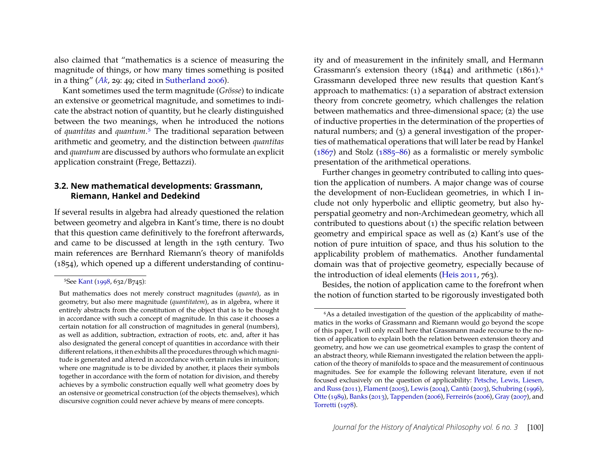also claimed that "mathematics is a science of measuring the magnitude of things, or how many times something is posited in a thing" (*[Ak](#page-18-5)*, 29: 49; cited in [Sutherland](#page-19-2) [2006\)](#page-19-2).

Kant sometimes used the term magnitude (*Grösse*) to indicate an extensive or geometrical magnitude, and sometimes to indicate the abstract notion of quantity, but he clearly distinguished between the two meanings, when he introduced the notions of *quantitas* and *quantum*[.5](#page-5-0) The traditional separation between arithmetic and geometry, and the distinction between *quantitas* and *quantum* are discussed by authors who formulate an explicit application constraint (Frege, Bettazzi).

#### **3.2. New mathematical developments: Grassmann, Riemann, Hankel and Dedekind**

If several results in algebra had already questioned the relation between geometry and algebra in Kant's time, there is no doubt that this question came definitively to the forefront afterwards, and came to be discussed at length in the 19th century. Two main references are Bernhard Riemann's theory of manifolds (1854), which opened up a different understanding of continuity and of measurement in the infinitely small, and Hermann Grassmann's extension theory (1844) and arithmetic (1861).<sup>6</sup> Grassmann developed three new results that question Kant's approach to mathematics: (1) a separation of abstract extension theory from concrete geometry, which challenges the relation between mathematics and three-dimensional space; (2) the use of inductive properties in the determination of the properties of natural numbers; and (3) a general investigation of the properties of mathematical operations that will later be read by Hankel [\(1867\)](#page-17-2) and Stolz [\(1885–86\)](#page-19-3) as a formalistic or merely symbolic presentation of the arithmetical operations.

Further changes in geometry contributed to calling into question the application of numbers. A major change was of course the development of non-Euclidean geometries, in which I include not only hyperbolic and elliptic geometry, but also hyperspatial geometry and non-Archimedean geometry, which all contributed to questions about (1) the specific relation between geometry and empirical space as well as (2) Kant's use of the notion of pure intuition of space, and thus his solution to the applicability problem of mathematics. Another fundamental domain was that of projective geometry, especially because of the introduction of ideal elements [\(Heis](#page-18-0) [2011,](#page-18-0) 763).

Besides, the notion of application came to the forefront when the notion of function started to be rigorously investigated both

<span id="page-5-0"></span><sup>5</sup>See [Kant](#page-18-4) [\(1998,](#page-18-4) 632/B745):

But mathematics does not merely construct magnitudes (*quanta*), as in geometry, but also mere magnitude (*quantitatem*), as in algebra, where it entirely abstracts from the constitution of the object that is to be thought in accordance with such a concept of magnitude. In this case it chooses a certain notation for all construction of magnitudes in general (numbers), as well as addition, subtraction, extraction of roots, etc. and, after it has also designated the general concept of quantities in accordance with their different relations, it then exhibits all the procedures through which magnitude is generated and altered in accordance with certain rules in intuition; where one magnitude is to be divided by another, it places their symbols together in accordance with the form of notation for division, and thereby achieves by a symbolic construction equally well what geometry does by an ostensive or geometrical construction (of the objects themselves), which discursive cognition could never achieve by means of mere concepts.

<span id="page-5-1"></span><sup>&</sup>lt;sup>6</sup>As a detailed investigation of the question of the applicability of mathematics in the works of Grassmann and Riemann would go beyond the scope of this paper, I will only recall here that Grassmann made recourse to the notion of application to explain both the relation between extension theory and geometry, and how we can use geometrical examples to grasp the content of an abstract theory, while Riemann investigated the relation between the application of the theory of manifolds to space and the measurement of continuous magnitudes. See for example the following relevant literature, even if not focused exclusively on the question of applicability: [Petsche, Lewis, Liesen,](#page-18-6) [and Russ](#page-18-6) [\(2011\)](#page-18-6), [Flament](#page-17-3) [\(2005\)](#page-17-3), [Lewis](#page-18-7) [\(2004\)](#page-18-7), [Cantù](#page-16-2) [\(2003\)](#page-16-2), [Schubring](#page-19-4) [\(1996\)](#page-19-4), [Otte](#page-18-8) [\(1989\)](#page-18-8), [Banks](#page-16-3) [\(2013\)](#page-16-3), [Tappenden](#page-19-5) [\(2006\)](#page-19-5), [Ferreirós](#page-17-4) [\(2006\)](#page-17-4), [Gray](#page-17-5) [\(2007\)](#page-17-5), and [Torretti](#page-19-6) [\(1978\)](#page-19-6).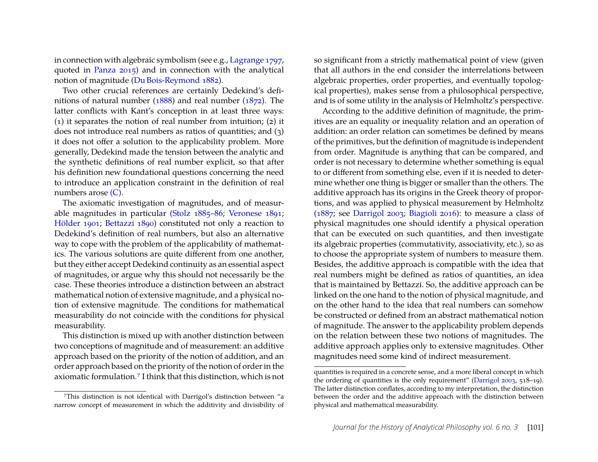in connection with algebraic symbolism (see e.g., [Lagrange](#page-18-9) [1797,](#page-18-9) quoted in [Panza](#page-18-10) [2015\)](#page-18-10) and in connection with the analytical notion of magnitude [\(Du Bois-Reymond](#page-16-4) [1882\)](#page-16-4).

Two other crucial references are certainly Dedekind's definitions of natural number [\(1888\)](#page-16-5) and real number [\(1872\)](#page-16-6). The latter conflicts with Kant's conception in at least three ways: (1) it separates the notion of real number from intuition; (2) it does not introduce real numbers as ratios of quantities; and (3) it does not offer a solution to the applicability problem. More generally, Dedekind made the tension between the analytic and the synthetic definitions of real number explicit, so that after his definition new foundational questions concerning the need to introduce an application constraint in the definition of real numbers arose [\(C\).](#page-2-3)

The axiomatic investigation of magnitudes, and of measurable magnitudes in particular [\(Stolz](#page-19-3) [1885–86;](#page-19-3) [Veronese](#page-19-7) [1891;](#page-19-7) [Hölder](#page-18-11) [1901;](#page-18-11) [Bettazzi](#page-16-7) [1890\)](#page-16-7) constituted not only a reaction to Dedekind's definition of real numbers, but also an alternative way to cope with the problem of the applicability of mathematics. The various solutions are quite different from one another, but they either accept Dedekind continuity as an essential aspect of magnitudes, or argue why this should not necessarily be the case. These theories introduce a distinction between an abstract mathematical notion of extensive magnitude, and a physical notion of extensive magnitude. The conditions for mathematical measurability do not coincide with the conditions for physical measurability.

This distinction is mixed up with another distinction between two conceptions of magnitude and of measurement: an additive approach based on the priority of the notion of addition, and an order approach based on the priority of the notion of order in the axiomatic formulation[.7](#page-6-0) I think that this distinction, which is not

so significant from a strictly mathematical point of view (given that all authors in the end consider the interrelations between algebraic properties, order properties, and eventually topological properties), makes sense from a philosophical perspective, and is of some utility in the analysis of Helmholtz's perspective.

According to the additive definition of magnitude, the primitives are an equality or inequality relation and an operation of addition: an order relation can sometimes be defined by means of the primitives, but the definition of magnitude is independent from order. Magnitude is anything that can be compared, and order is not necessary to determine whether something is equal to or different from something else, even if it is needed to determine whether one thing is bigger or smaller than the others. The additive approach has its origins in the Greek theory of proportions, and was applied to physical measurement by Helmholtz [\(1887;](#page-18-12) see [Darrigol](#page-16-8) [2003;](#page-16-8) [Biagioli](#page-16-9) [2016\)](#page-16-9): to measure a class of physical magnitudes one should identify a physical operation that can be executed on such quantities, and then investigate its algebraic properties (commutativity, associativity, etc.), so as to choose the appropriate system of numbers to measure them. Besides, the additive approach is compatible with the idea that real numbers might be defined as ratios of quantities, an idea that is maintained by Bettazzi. So, the additive approach can be linked on the one hand to the notion of physical magnitude, and on the other hand to the idea that real numbers can somehow be constructed or defined from an abstract mathematical notion of magnitude. The answer to the applicability problem depends on the relation between these two notions of magnitudes. The additive approach applies only to extensive magnitudes. Other magnitudes need some kind of indirect measurement.

<span id="page-6-0"></span><sup>7</sup>This distinction is not identical with Darrigol's distinction between "a narrow concept of measurement in which the additivity and divisibility of

quantities is required in a concrete sense, and a more liberal concept in which the ordering of quantities is the only requirement" [\(Darrigol](#page-16-8) [2003,](#page-16-8) 518–19). The latter distinction conflates, according to my interpretation, the distinction between the order and the additive approach with the distinction between physical and mathematical measurability.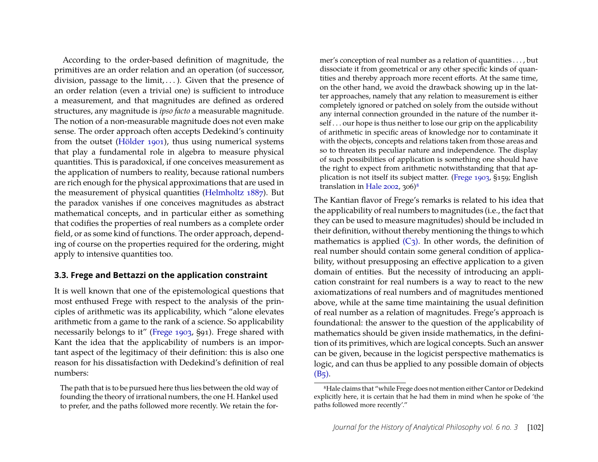According to the order-based definition of magnitude, the primitives are an order relation and an operation (of successor, division, passage to the limit,  $\dots$ ). Given that the presence of an order relation (even a trivial one) is sufficient to introduce a measurement, and that magnitudes are defined as ordered structures, any magnitude is *ipso facto* a measurable magnitude. The notion of a non-measurable magnitude does not even make sense. The order approach often accepts Dedekind's continuity from the outset [\(Hölder](#page-18-11) [1901\)](#page-18-11), thus using numerical systems that play a fundamental role in algebra to measure physical quantities. This is paradoxical, if one conceives measurement as the application of numbers to reality, because rational numbers are rich enough for the physical approximations that are used in the measurement of physical quantities [\(Helmholtz](#page-18-12) [1887\)](#page-18-12). But the paradox vanishes if one conceives magnitudes as abstract mathematical concepts, and in particular either as something that codifies the properties of real numbers as a complete order field, or as some kind of functions. The order approach, depending of course on the properties required for the ordering, might apply to intensive quantities too.

#### **3.3. Frege and Bettazzi on the application constraint**

It is well known that one of the epistemological questions that most enthused Frege with respect to the analysis of the principles of arithmetic was its applicability, which "alone elevates arithmetic from a game to the rank of a science. So applicability necessarily belongs to it" [\(Frege](#page-17-6) [1903,](#page-17-6) §91). Frege shared with Kant the idea that the applicability of numbers is an important aspect of the legitimacy of their definition: this is also one reason for his dissatisfaction with Dedekind's definition of real numbers:

The path that is to be pursued here thus lies between the old way of founding the theory of irrational numbers, the one H. Hankel used to prefer, and the paths followed more recently. We retain the former's conception of real number as a relation of quantities . . . , but dissociate it from geometrical or any other specific kinds of quantities and thereby approach more recent efforts. At the same time, on the other hand, we avoid the drawback showing up in the latter approaches, namely that any relation to measurement is either completely ignored or patched on solely from the outside without any internal connection grounded in the nature of the number itself... our hope is thus neither to lose our grip on the applicability of arithmetic in specific areas of knowledge nor to contaminate it with the objects, concepts and relations taken from those areas and so to threaten its peculiar nature and independence. The display of such possibilities of application is something one should have the right to expect from arithmetic notwithstanding that that application is not itself its subject matter. [\(Frege](#page-17-6) [1903,](#page-17-6) §159; English translation in [Hale](#page-17-7)  $2002$ ,  $306$ <sup>8</sup>

The Kantian flavor of Frege's remarks is related to his idea that the applicability of real numbers to magnitudes (i.e., the fact that they can be used to measure magnitudes) should be included in their definition, without thereby mentioning the things to which mathematics is applied  $(C_3)$ . In other words, the definition of real number should contain some general condition of applicability, without presupposing an effective application to a given domain of entities. But the necessity of introducing an application constraint for real numbers is a way to react to the new axiomatizations of real numbers and of magnitudes mentioned above, while at the same time maintaining the usual definition of real number as a relation of magnitudes. Frege's approach is foundational: the answer to the question of the applicability of mathematics should be given inside mathematics, in the definition of its primitives, which are logical concepts. Such an answer can be given, because in the logicist perspective mathematics is logic, and can thus be applied to any possible domain of objects  $(B_5)$ .

<span id="page-7-0"></span><sup>8</sup>Hale claims that "while Frege does not mention either Cantor or Dedekind explicitly here, it is certain that he had them in mind when he spoke of 'the paths followed more recently'."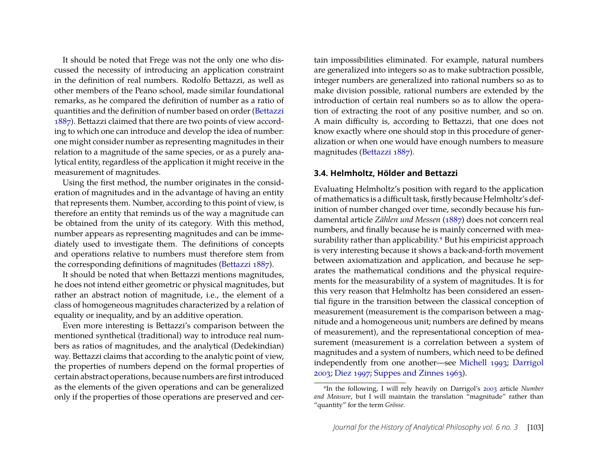It should be noted that Frege was not the only one who discussed the necessity of introducing an application constraint in the definition of real numbers. Rodolfo Bettazzi, as well as other members of the Peano school, made similar foundational remarks, as he compared the definition of number as a ratio of quantities and the definition of number based on order [\(Bettazzi](#page-16-10) [1887\)](#page-16-10). Bettazzi claimed that there are two points of view according to which one can introduce and develop the idea of number: one might consider number as representing magnitudes in their relation to a magnitude of the same species, or as a purely analytical entity, regardless of the application it might receive in the measurement of magnitudes.

Using the first method, the number originates in the consideration of magnitudes and in the advantage of having an entity that represents them. Number, according to this point of view, is therefore an entity that reminds us of the way a magnitude can be obtained from the unity of its category. With this method, number appears as representing magnitudes and can be immediately used to investigate them. The definitions of concepts and operations relative to numbers must therefore stem from the corresponding definitions of magnitudes [\(Bettazzi](#page-16-10) [1887\)](#page-16-10).

It should be noted that when Bettazzi mentions magnitudes, he does not intend either geometric or physical magnitudes, but rather an abstract notion of magnitude, i.e., the element of a class of homogeneous magnitudes characterized by a relation of equality or inequality, and by an additive operation.

Even more interesting is Bettazzi's comparison between the mentioned synthetical (traditional) way to introduce real numbers as ratios of magnitudes, and the analytical (Dedekindian) way. Bettazzi claims that according to the analytic point of view, the properties of numbers depend on the formal properties of certain abstract operations, because numbers are first introduced as the elements of the given operations and can be generalized only if the properties of those operations are preserved and certain impossibilities eliminated. For example, natural numbers are generalized into integers so as to make subtraction possible, integer numbers are generalized into rational numbers so as to make division possible, rational numbers are extended by the introduction of certain real numbers so as to allow the operation of extracting the root of any positive number, and so on. A main difficulty is, according to Bettazzi, that one does not know exactly where one should stop in this procedure of generalization or when one would have enough numbers to measure magnitudes [\(Bettazzi](#page-16-10) [1887\)](#page-16-10).

#### **3.4. Helmholtz, Hölder and Bettazzi**

Evaluating Helmholtz's position with regard to the application of mathematics is a difficult task, firstly because Helmholtz's definition of number changed over time, secondly because his fundamental article *Zählen und Messen* [\(1887\)](#page-18-12) does not concern real numbers, and finally because he is mainly concerned with measurability rather than applicability.<sup>9</sup> But his empiricist approach is very interesting because it shows a back-and-forth movement between axiomatization and application, and because he separates the mathematical conditions and the physical requirements for the measurability of a system of magnitudes. It is for this very reason that Helmholtz has been considered an essential figure in the transition between the classical conception of measurement (measurement is the comparison between a magnitude and a homogeneous unit; numbers are defined by means of measurement), and the representational conception of measurement (measurement is a correlation between a system of magnitudes and a system of numbers, which need to be defined independently from one another—see [Michell](#page-18-13) [1993;](#page-18-13) [Darrigol](#page-16-8) [2003;](#page-16-8) [Diez](#page-16-11) [1997;](#page-16-11) [Suppes and Zinnes](#page-19-8) [1963\)](#page-19-8).

<span id="page-8-0"></span><sup>9</sup>In the following, I will rely heavily on Darrigol's [2003](#page-16-8) article *Number and Measure*, but I will maintain the translation "magnitude" rather than "quantity" for the term *Grösse*.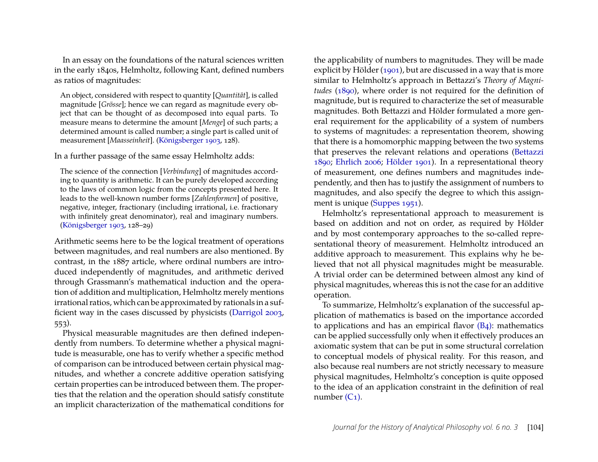In an essay on the foundations of the natural sciences written in the early 1840s, Helmholtz, following Kant, defined numbers as ratios of magnitudes:

An object, considered with respect to quantity [*Quantität*], is called magnitude [*Grösse*]; hence we can regard as magnitude every object that can be thought of as decomposed into equal parts. To measure means to determine the amount [*Menge*] of such parts; a determined amount is called number; a single part is called unit of measurement [*Maasseinheit*]. [\(Königsberger](#page-18-14) [1903,](#page-18-14) 128).

In a further passage of the same essay Helmholtz adds:

The science of the connection [*Verbindung*] of magnitudes according to quantity is arithmetic. It can be purely developed according to the laws of common logic from the concepts presented here. It leads to the well-known number forms [*Zahlenformen*] of positive, negative, integer, fractionary (including irrational, i.e. fractionary with infinitely great denominator), real and imaginary numbers. [\(Königsberger](#page-18-14) [1903,](#page-18-14) 128–29)

Arithmetic seems here to be the logical treatment of operations between magnitudes, and real numbers are also mentioned. By contrast, in the 1887 article, where ordinal numbers are introduced independently of magnitudes, and arithmetic derived through Grassmann's mathematical induction and the operation of addition and multiplication, Helmholtz merely mentions irrational ratios, which can be approximated by rationals in a sufficient way in the cases discussed by physicists [\(Darrigol](#page-16-8) [2003,](#page-16-8) 553).

Physical measurable magnitudes are then defined independently from numbers. To determine whether a physical magnitude is measurable, one has to verify whether a specific method of comparison can be introduced between certain physical magnitudes, and whether a concrete additive operation satisfying certain properties can be introduced between them. The properties that the relation and the operation should satisfy constitute an implicit characterization of the mathematical conditions for the applicability of numbers to magnitudes. They will be made explicit by Hölder [\(1901\)](#page-18-11), but are discussed in a way that is more similar to Helmholtz's approach in Bettazzi's *Theory of Magnitudes* [\(1890\)](#page-16-7), where order is not required for the definition of magnitude, but is required to characterize the set of measurable magnitudes. Both Bettazzi and Hölder formulated a more general requirement for the applicability of a system of numbers to systems of magnitudes: a representation theorem, showing that there is a homomorphic mapping between the two systems that preserves the relevant relations and operations [\(Bettazzi](#page-16-7) [1890;](#page-16-7) [Ehrlich](#page-17-8) [2006;](#page-17-8) [Hölder](#page-18-11) [1901\)](#page-18-11). In a representational theory of measurement, one defines numbers and magnitudes independently, and then has to justify the assignment of numbers to magnitudes, and also specify the degree to which this assignment is unique [\(Suppes](#page-19-9) [1951\)](#page-19-9).

Helmholtz's representational approach to measurement is based on addition and not on order, as required by Hölder and by most contemporary approaches to the so-called representational theory of measurement. Helmholtz introduced an additive approach to measurement. This explains why he believed that not all physical magnitudes might be measurable. A trivial order can be determined between almost any kind of physical magnitudes, whereas this is not the case for an additive operation.

To summarize, Helmholtz's explanation of the successful application of mathematics is based on the importance accorded to applications and has an empirical flavor [\(B4\):](#page-3-4) mathematics can be applied successfully only when it effectively produces an axiomatic system that can be put in some structural correlation to conceptual models of physical reality. For this reason, and also because real numbers are not strictly necessary to measure physical magnitudes, Helmholtz's conception is quite opposed to the idea of an application constraint in the definition of real number  $(C_1)$ .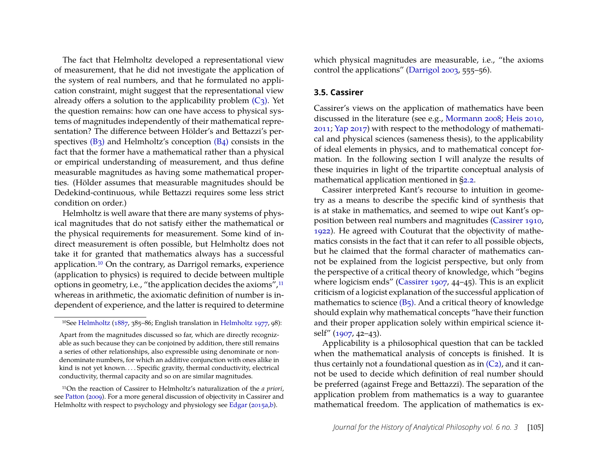The fact that Helmholtz developed a representational view of measurement, that he did not investigate the application of the system of real numbers, and that he formulated no application constraint, might suggest that the representational view already offers a solution to the applicability problem  $(C_3)$ . Yet the question remains: how can one have access to physical systems of magnitudes independently of their mathematical representation? The difference between Hölder's and Bettazzi's perspectives [\(B3\)](#page-3-6) and Helmholtz's conception [\(B4\)](#page-3-4) consists in the fact that the former have a mathematical rather than a physical or empirical understanding of measurement, and thus define measurable magnitudes as having some mathematical properties. (Hölder assumes that measurable magnitudes should be Dedekind-continuous, while Bettazzi requires some less strict condition on order.)

Helmholtz is well aware that there are many systems of physical magnitudes that do not satisfy either the mathematical or the physical requirements for measurement. Some kind of indirect measurement is often possible, but Helmholtz does not take it for granted that mathematics always has a successful application[.10](#page-10-0) On the contrary, as Darrigol remarks, experience (application to physics) is required to decide between multiple options in geometry, i.e., "the application decides the axioms"[,11](#page-10-1) whereas in arithmetic, the axiomatic definition of number is independent of experience, and the latter is required to determine

<span id="page-10-1"></span>11On the reaction of Cassirer to Helmholtz's naturalization of the *a priori*, see [Patton](#page-18-16) [\(2009\)](#page-18-16). For a more general discussion of objectivity in Cassirer and Helmholtz with respect to psychology and physiology see [Edgar](#page-16-12) [\(2015a](#page-16-12)[,b\)](#page-17-9).

which physical magnitudes are measurable, i.e., "the axioms control the applications" [\(Darrigol](#page-16-8) [2003,](#page-16-8) 555–56).

#### **3.5. Cassirer**

Cassirer's views on the application of mathematics have been discussed in the literature (see e.g., [Mormann](#page-18-1) [2008;](#page-18-1) [Heis](#page-17-10) [2010,](#page-17-10) [2011;](#page-18-0) [Yap](#page-19-0) [2017\)](#page-19-0) with respect to the methodology of mathematical and physical sciences (sameness thesis), to the applicability of ideal elements in physics, and to mathematical concept formation. In the following section I will analyze the results of these inquiries in light of the tripartite conceptual analysis of mathematical application mentioned in [§2.2.](#page-3-7)

Cassirer interpreted Kant's recourse to intuition in geometry as a means to describe the specific kind of synthesis that is at stake in mathematics, and seemed to wipe out Kant's opposition between real numbers and magnitudes [\(Cassirer](#page-16-13) [1910,](#page-16-13) [1922\)](#page-16-14). He agreed with Couturat that the objectivity of mathematics consists in the fact that it can refer to all possible objects, but he claimed that the formal character of mathematics cannot be explained from the logicist perspective, but only from the perspective of a critical theory of knowledge, which "begins where logicism ends" [\(Cassirer](#page-16-15) [1907,](#page-16-15) 44–45). This is an explicit criticism of a logicist explanation of the successful application of mathematics to science [\(B5\).](#page-3-3) And a critical theory of knowledge should explain why mathematical concepts "have their function and their proper application solely within empirical science itself" [\(1907,](#page-16-15) 42–43).

Applicability is a philosophical question that can be tackled when the mathematical analysis of concepts is finished. It is thus certainly not a foundational question as in  $(C_2)$ , and it cannot be used to decide which definition of real number should be preferred (against Frege and Bettazzi). The separation of the application problem from mathematics is a way to guarantee mathematical freedom. The application of mathematics is ex-

<span id="page-10-0"></span><sup>&</sup>lt;sup>10</sup>See [Helmholtz](#page-18-15) [\(1887,](#page-18-12) 385–86; English translation in Helmholtz [1977,](#page-18-15) 98):

Apart from the magnitudes discussed so far, which are directly recognizable as such because they can be conjoined by addition, there still remains a series of other relationships, also expressible using denominate or nondenominate numbers, for which an additive conjunction with ones alike in kind is not yet known. . . . Specific gravity, thermal conductivity, electrical conductivity, thermal capacity and so on are similar magnitudes.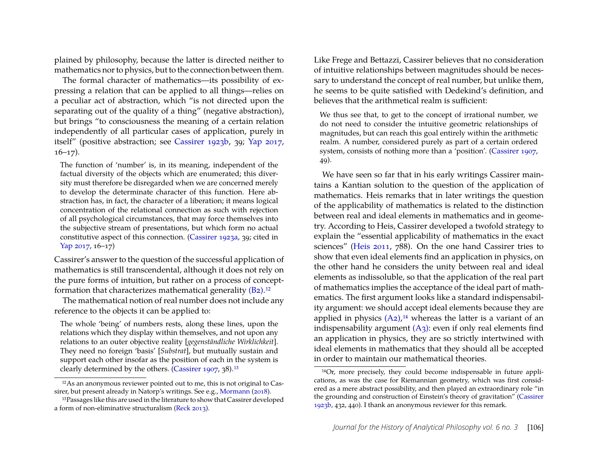plained by philosophy, because the latter is directed neither to mathematics nor to physics, but to the connection between them.

The formal character of mathematics—its possibility of expressing a relation that can be applied to all things—relies on a peculiar act of abstraction, which "is not directed upon the separating out of the quality of a thing" (negative abstraction), but brings "to consciousness the meaning of a certain relation independently of all particular cases of application, purely in itself" (positive abstraction; see [Cassirer](#page-16-16) [1923b,](#page-16-16) 39; [Yap](#page-19-0) [2017,](#page-19-0)  $16-17$ ).

The function of 'number' is, in its meaning, independent of the factual diversity of the objects which are enumerated; this diversity must therefore be disregarded when we are concerned merely to develop the determinate character of this function. Here abstraction has, in fact, the character of a liberation; it means logical concentration of the relational connection as such with rejection of all psychological circumstances, that may force themselves into the subjective stream of presentations, but which form no actual constitutive aspect of this connection. [\(Cassirer](#page-16-17) [1923a,](#page-16-17) 39; cited in [Yap](#page-19-0) [2017,](#page-19-0) 16–17)

Cassirer's answer to the question of the successful application of mathematics is still transcendental, although it does not rely on the pure forms of intuition, but rather on a process of conceptformation that characterizes mathematical generality [\(B2\).](#page-3-0)[12](#page-11-0)

The mathematical notion of real number does not include any reference to the objects it can be applied to:

The whole 'being' of numbers rests, along these lines, upon the relations which they display within themselves, and not upon any relations to an outer objective reality [*gegenständliche Wirklichkeit*]. They need no foreign 'basis' [*Substrat*], but mutually sustain and support each other insofar as the position of each in the system is clearly determined by the others. [\(Cassirer](#page-16-15) [1907,](#page-16-15) 38)[.13](#page-11-1)

Like Frege and Bettazzi, Cassirer believes that no consideration of intuitive relationships between magnitudes should be necessary to understand the concept of real number, but unlike them, he seems to be quite satisfied with Dedekind's definition, and believes that the arithmetical realm is sufficient:

We thus see that, to get to the concept of irrational number, we do not need to consider the intuitive geometric relationships of magnitudes, but can reach this goal entirely within the arithmetic realm. A number, considered purely as part of a certain ordered system, consists of nothing more than a 'position'. [\(Cassirer](#page-16-15) [1907,](#page-16-15) 49).

We have seen so far that in his early writings Cassirer maintains a Kantian solution to the question of the application of mathematics. Heis remarks that in later writings the question of the applicability of mathematics is related to the distinction between real and ideal elements in mathematics and in geometry. According to Heis, Cassirer developed a twofold strategy to explain the "essential applicability of mathematics in the exact sciences" [\(Heis](#page-18-0) [2011,](#page-18-0) 788). On the one hand Cassirer tries to show that even ideal elements find an application in physics, on the other hand he considers the unity between real and ideal elements as indissoluble, so that the application of the real part of mathematics implies the acceptance of the ideal part of mathematics. The first argument looks like a standard indispensability argument: we should accept ideal elements because they are applied in physics  $(A_2)$ ,<sup>14</sup> whereas the latter is a variant of an indispensability argument  $(A_3)$ : even if only real elements find an application in physics, they are so strictly intertwined with ideal elements in mathematics that they should all be accepted in order to maintain our mathematical theories.

<span id="page-11-0"></span><sup>12</sup>As an anonymous reviewer pointed out to me, this is not original to Cassirer, but present already in Natorp's writings. See e.g., [Mormann](#page-18-17) [\(2018\)](#page-18-17).

<span id="page-11-1"></span><sup>13</sup>Passages like this are used in the literature to show that Cassirer developed a form of non-eliminative structuralism [\(Reck](#page-18-18) [2013\)](#page-18-18).

<span id="page-11-2"></span><sup>14</sup>Or, more precisely, they could become indispensable in future applications, as was the case for Riemannian geometry, which was first considered as a mere abstract possibility, and then played an extraordinary role "in the grounding and construction of Einstein's theory of gravitation" [\(Cassirer](#page-16-16) [1923b,](#page-16-16) 432, 440). I thank an anonymous reviewer for this remark.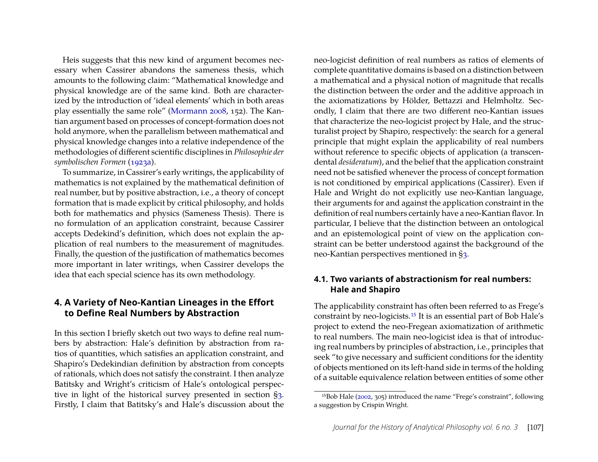Heis suggests that this new kind of argument becomes necessary when Cassirer abandons the sameness thesis, which amounts to the following claim: "Mathematical knowledge and physical knowledge are of the same kind. Both are characterized by the introduction of 'ideal elements' which in both areas play essentially the same role" [\(Mormann](#page-18-1) [2008,](#page-18-1) 152). The Kantian argument based on processes of concept-formation does not hold anymore, when the parallelism between mathematical and physical knowledge changes into a relative independence of the methodologies of different scientific disciplines in *Philosophie der symbolischen Formen* [\(1923a\)](#page-16-17).

To summarize, in Cassirer's early writings, the applicability of mathematics is not explained by the mathematical definition of real number, but by positive abstraction, i.e., a theory of concept formation that is made explicit by critical philosophy, and holds both for mathematics and physics (Sameness Thesis). There is no formulation of an application constraint, because Cassirer accepts Dedekind's definition, which does not explain the application of real numbers to the measurement of magnitudes. Finally, the question of the justification of mathematics becomes more important in later writings, when Cassirer develops the idea that each special science has its own methodology.

#### **4. A Variety of Neo-Kantian Lineages in the Effort to Define Real Numbers by Abstraction**

In this section I briefly sketch out two ways to define real numbers by abstraction: Hale's definition by abstraction from ratios of quantities, which satisfies an application constraint, and Shapiro's Dedekindian definition by abstraction from concepts of rationals, which does not satisfy the constraint. I then analyze Batitsky and Wright's criticism of Hale's ontological perspective in light of the historical survey presented in section [§3.](#page-4-0) Firstly, I claim that Batitsky's and Hale's discussion about the

neo-logicist definition of real numbers as ratios of elements of complete quantitative domains is based on a distinction between a mathematical and a physical notion of magnitude that recalls the distinction between the order and the additive approach in the axiomatizations by Hölder, Bettazzi and Helmholtz. Secondly, I claim that there are two different neo-Kantian issues that characterize the neo-logicist project by Hale, and the structuralist project by Shapiro, respectively: the search for a general principle that might explain the applicability of real numbers without reference to specific objects of application (a transcendental *desideratum*), and the belief that the application constraint need not be satisfied whenever the process of concept formation is not conditioned by empirical applications (Cassirer). Even if Hale and Wright do not explicitly use neo-Kantian language, their arguments for and against the application constraint in the definition of real numbers certainly have a neo-Kantian flavor. In particular, I believe that the distinction between an ontological and an epistemological point of view on the application constraint can be better understood against the background of the neo-Kantian perspectives mentioned in [§3.](#page-4-0)

#### **4.1. Two variants of abstractionism for real numbers: Hale and Shapiro**

The applicability constraint has often been referred to as Frege's constraint by neo-logicists[.15](#page-12-0) It is an essential part of Bob Hale's project to extend the neo-Fregean axiomatization of arithmetic to real numbers. The main neo-logicist idea is that of introducing real numbers by principles of abstraction, i.e., principles that seek "to give necessary and sufficient conditions for the identity of objects mentioned on its left-hand side in terms of the holding of a suitable equivalence relation between entities of some other

<span id="page-12-0"></span><sup>15</sup>Bob Hale [\(2002,](#page-17-7) 305) introduced the name "Frege's constraint", following a suggestion by Crispin Wright.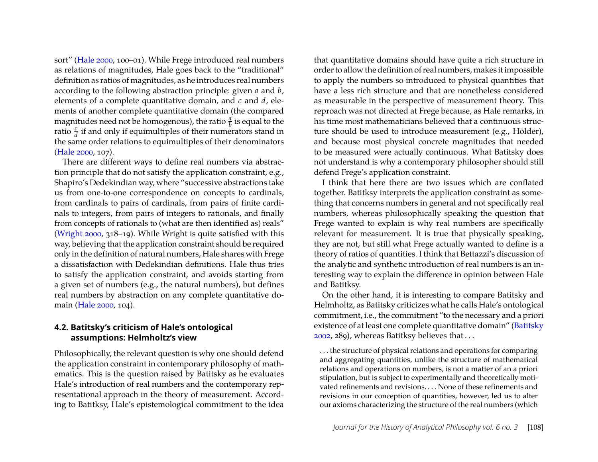sort" [\(Hale](#page-17-11) [2000,](#page-17-11) 100–01). While Frege introduced real numbers as relations of magnitudes, Hale goes back to the "traditional" definition as ratios of magnitudes, as he introduces real numbers according to the following abstraction principle: given *a* and *b*, elements of a complete quantitative domain, and *c* and *d*, elements of another complete quantitative domain (the compared magnitudes need not be homogenous), the ratio  $\frac{a}{b}$  is equal to the ratio  $\frac{c}{d}$  if and only if equimultiples of their numerators stand in the same order relations to equimultiples of their denominators [\(Hale](#page-17-11) [2000,](#page-17-11) 107).

There are different ways to define real numbers via abstraction principle that do not satisfy the application constraint, e.g., Shapiro's Dedekindian way, where "successive abstractions take us from one-to-one correspondence on concepts to cardinals, from cardinals to pairs of cardinals, from pairs of finite cardinals to integers, from pairs of integers to rationals, and finally from concepts of rationals to (what are then identified as) reals" [\(Wright](#page-19-10) [2000,](#page-19-10) 318–19). While Wright is quite satisfied with this way, believing that the application constraint should be required only in the definition of natural numbers, Hale shares with Frege a dissatisfaction with Dedekindian definitions. Hale thus tries to satisfy the application constraint, and avoids starting from a given set of numbers (e.g., the natural numbers), but defines real numbers by abstraction on any complete quantitative domain [\(Hale](#page-17-11) [2000,](#page-17-11) 104).

#### **4.2. Batitsky's criticism of Hale's ontological assumptions: Helmholtz's view**

Philosophically, the relevant question is why one should defend the application constraint in contemporary philosophy of mathematics. This is the question raised by Batitsky as he evaluates Hale's introduction of real numbers and the contemporary representational approach in the theory of measurement. According to Batitksy, Hale's epistemological commitment to the idea

that quantitative domains should have quite a rich structure in order to allow the definition of real numbers, makes it impossible to apply the numbers so introduced to physical quantities that have a less rich structure and that are nonetheless considered as measurable in the perspective of measurement theory. This reproach was not directed at Frege because, as Hale remarks, in his time most mathematicians believed that a continuous structure should be used to introduce measurement (e.g., Hölder), and because most physical concrete magnitudes that needed to be measured were actually continuous. What Batitsky does not understand is why a contemporary philosopher should still defend Frege's application constraint.

I think that here there are two issues which are conflated together. Batitksy interprets the application constraint as something that concerns numbers in general and not specifically real numbers, whereas philosophically speaking the question that Frege wanted to explain is why real numbers are specifically relevant for measurement. It is true that physically speaking, they are not, but still what Frege actually wanted to define is a theory of ratios of quantities. I think that Bettazzi's discussion of the analytic and synthetic introduction of real numbers is an interesting way to explain the difference in opinion between Hale and Batitksy.

On the other hand, it is interesting to compare Batitsky and Helmholtz, as Batitsky criticizes what he calls Hale's ontological commitment, i.e., the commitment "to the necessary and a priori existence of at least one complete quantitative domain" [\(Batitsky](#page-16-18) [2002,](#page-16-18) 289), whereas Batitksy believes that . . .

. . . the structure of physical relations and operations for comparing and aggregating quantities, unlike the structure of mathematical relations and operations on numbers, is not a matter of an a priori stipulation, but is subject to experimentally and theoretically motivated refinements and revisions. . . . None of these refinements and revisions in our conception of quantities, however, led us to alter our axioms characterizing the structure of the real numbers (which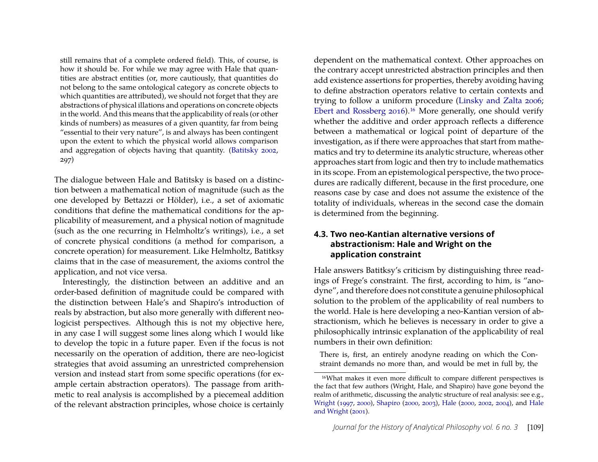still remains that of a complete ordered field). This, of course, is how it should be. For while we may agree with Hale that quantities are abstract entities (or, more cautiously, that quantities do not belong to the same ontological category as concrete objects to which quantities are attributed), we should not forget that they are abstractions of physical illations and operations on concrete objects in the world. And this means that the applicability of reals (or other kinds of numbers) as measures of a given quantity, far from being "essential to their very nature", is and always has been contingent upon the extent to which the physical world allows comparison and aggregation of objects having that quantity. [\(Batitsky](#page-16-18) [2002,](#page-16-18) 297)

The dialogue between Hale and Batitsky is based on a distinction between a mathematical notion of magnitude (such as the one developed by Bettazzi or Hölder), i.e., a set of axiomatic conditions that define the mathematical conditions for the applicability of measurement, and a physical notion of magnitude (such as the one recurring in Helmholtz's writings), i.e., a set of concrete physical conditions (a method for comparison, a concrete operation) for measurement. Like Helmholtz, Batitksy claims that in the case of measurement, the axioms control the application, and not vice versa.

Interestingly, the distinction between an additive and an order-based definition of magnitude could be compared with the distinction between Hale's and Shapiro's introduction of reals by abstraction, but also more generally with different neologicist perspectives. Although this is not my objective here, in any case I will suggest some lines along which I would like to develop the topic in a future paper. Even if the focus is not necessarily on the operation of addition, there are neo-logicist strategies that avoid assuming an unrestricted comprehension version and instead start from some specific operations (for example certain abstraction operators). The passage from arithmetic to real analysis is accomplished by a piecemeal addition of the relevant abstraction principles, whose choice is certainly

dependent on the mathematical context. Other approaches on the contrary accept unrestricted abstraction principles and then add existence assertions for properties, thereby avoiding having to define abstraction operators relative to certain contexts and trying to follow a uniform procedure [\(Linsky and Zalta](#page-18-19) [2006;](#page-18-19) [Ebert and Rossberg](#page-16-19) [2016\)](#page-16-19)[.16](#page-14-0) More generally, one should verify whether the additive and order approach reflects a difference between a mathematical or logical point of departure of the investigation, as if there were approaches that start from mathematics and try to determine its analytic structure, whereas other approaches start from logic and then try to include mathematics in its scope. From an epistemological perspective, the two procedures are radically different, because in the first procedure, one reasons case by case and does not assume the existence of the totality of individuals, whereas in the second case the domain is determined from the beginning.

#### **4.3. Two neo-Kantian alternative versions of abstractionism: Hale and Wright on the application constraint**

Hale answers Batitksy's criticism by distinguishing three readings of Frege's constraint. The first, according to him, is "anodyne", and therefore does not constitute a genuine philosophical solution to the problem of the applicability of real numbers to the world. Hale is here developing a neo-Kantian version of abstractionism, which he believes is necessary in order to give a philosophically intrinsic explanation of the applicability of real numbers in their own definition:

There is, first, an entirely anodyne reading on which the Constraint demands no more than, and would be met in full by, the

<span id="page-14-0"></span><sup>16</sup>What makes it even more difficult to compare different perspectives is the fact that few authors (Wright, Hale, and Shapiro) have gone beyond the realm of arithmetic, discussing the analytic structure of real analysis: see e.g., [Wright](#page-19-11) [\(1997,](#page-19-11) [2000\)](#page-19-10), [Shapiro](#page-19-12) [\(2000,](#page-19-12) [2003\)](#page-19-13), [Hale](#page-17-11) [\(2000,](#page-17-11) [2002,](#page-17-7) [2004\)](#page-17-12), and [Hale](#page-17-13) [and Wright](#page-17-13) [\(2001\)](#page-17-13).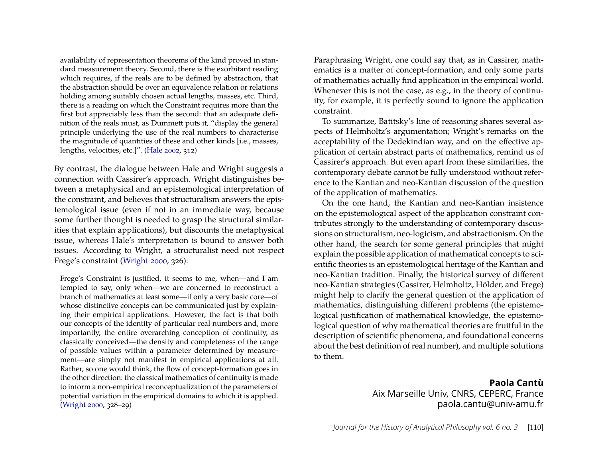availability of representation theorems of the kind proved in standard measurement theory. Second, there is the exorbitant reading which requires, if the reals are to be defined by abstraction, that the abstraction should be over an equivalence relation or relations holding among suitably chosen actual lengths, masses, etc. Third, there is a reading on which the Constraint requires more than the first but appreciably less than the second: that an adequate definition of the reals must, as Dummett puts it, "display the general principle underlying the use of the real numbers to characterise the magnitude of quantities of these and other kinds [i.e., masses, lengths, velocities, etc.]". [\(Hale](#page-17-7) [2002,](#page-17-7) 312)

By contrast, the dialogue between Hale and Wright suggests a connection with Cassirer's approach. Wright distinguishes between a metaphysical and an epistemological interpretation of the constraint, and believes that structuralism answers the epistemological issue (even if not in an immediate way, because some further thought is needed to grasp the structural similarities that explain applications), but discounts the metaphysical issue, whereas Hale's interpretation is bound to answer both issues. According to Wright, a structuralist need not respect Frege's constraint [\(Wright](#page-19-10) [2000,](#page-19-10) 326):

Frege's Constraint is justified, it seems to me, when—and I am tempted to say, only when—we are concerned to reconstruct a branch of mathematics at least some—if only a very basic core—of whose distinctive concepts can be communicated just by explaining their empirical applications. However, the fact is that both our concepts of the identity of particular real numbers and, more importantly, the entire overarching conception of continuity, as classically conceived—the density and completeness of the range of possible values within a parameter determined by measurement—are simply not manifest in empirical applications at all. Rather, so one would think, the flow of concept-formation goes in the other direction: the classical mathematics of continuity is made to inform a non-empirical reconceptualization of the parameters of potential variation in the empirical domains to which it is applied. [\(Wright](#page-19-10) [2000,](#page-19-10) 328–29)

Paraphrasing Wright, one could say that, as in Cassirer, mathematics is a matter of concept-formation, and only some parts of mathematics actually find application in the empirical world. Whenever this is not the case, as e.g., in the theory of continuity, for example, it is perfectly sound to ignore the application constraint.

To summarize, Batitsky's line of reasoning shares several aspects of Helmholtz's argumentation; Wright's remarks on the acceptability of the Dedekindian way, and on the effective application of certain abstract parts of mathematics, remind us of Cassirer's approach. But even apart from these similarities, the contemporary debate cannot be fully understood without reference to the Kantian and neo-Kantian discussion of the question of the application of mathematics.

On the one hand, the Kantian and neo-Kantian insistence on the epistemological aspect of the application constraint contributes strongly to the understanding of contemporary discussions on structuralism, neo-logicism, and abstractionism. On the other hand, the search for some general principles that might explain the possible application of mathematical concepts to scientific theories is an epistemological heritage of the Kantian and neo-Kantian tradition. Finally, the historical survey of different neo-Kantian strategies (Cassirer, Helmholtz, Hölder, and Frege) might help to clarify the general question of the application of mathematics, distinguishing different problems (the epistemological justification of mathematical knowledge, the epistemological question of why mathematical theories are fruitful in the description of scientific phenomena, and foundational concerns about the best definition of real number), and multiple solutions to them.

> **Paola Cantù** Aix Marseille Univ, CNRS, CEPERC, France paola.cantu@univ-amu.fr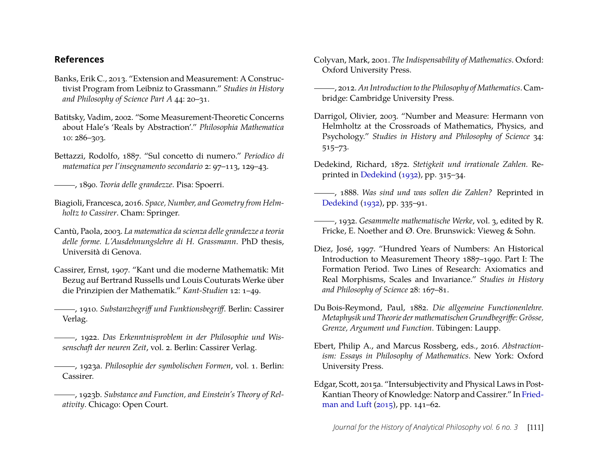# **References**

- <span id="page-16-3"></span>Banks, Erik C., 2013. "Extension and Measurement: A Constructivist Program from Leibniz to Grassmann." *Studies in History and Philosophy of Science Part A* 44: 20–31.
- <span id="page-16-18"></span>Batitsky, Vadim, 2002. "Some Measurement-Theoretic Concerns about Hale's 'Reals by Abstraction'." *Philosophia Mathematica* 10: 286–303.
- <span id="page-16-10"></span>Bettazzi, Rodolfo, 1887. "Sul concetto di numero." *Periodico di matematica per l'insegnamento secondario* 2: 97–113, 129–43.

<span id="page-16-7"></span>, 1890. *Teoria delle grandezze*. Pisa: Spoerri.

- <span id="page-16-9"></span>Biagioli, Francesca, 2016. *Space, Number, and Geometry from Helmholtz to Cassirer*. Cham: Springer.
- <span id="page-16-2"></span>Cantù, Paola, 2003. *La matematica da scienza delle grandezze a teoria delle forme. L'Ausdehnungslehre di H. Grassmann*. PhD thesis, Università di Genova.
- <span id="page-16-15"></span>Cassirer, Ernst, 1907. "Kant und die moderne Mathematik: Mit Bezug auf Bertrand Russells und Louis Couturats Werke über die Prinzipien der Mathematik." *Kant-Studien* 12: 1–49.
- <span id="page-16-13"></span>, 1910. *Substanzbegriff und Funktionsbegriff*. Berlin: Cassirer Verlag.
- <span id="page-16-14"></span>, 1922. *Das Erkenntnisproblem in der Philosophie und Wissenschaft der neuren Zeit*, vol. 2. Berlin: Cassirer Verlag.
- <span id="page-16-17"></span>, 1923a. *Philosophie der symbolischen Formen*, vol. 1. Berlin: Cassirer.
- <span id="page-16-16"></span>, 1923b. *Substance and Function, and Einstein's Theory of Relativity*. Chicago: Open Court.
- <span id="page-16-1"></span>Colyvan, Mark, 2001. *The Indispensability of Mathematics*. Oxford: Oxford University Press.
- <span id="page-16-0"></span>, 2012. *An Introduction to the Philosophy of Mathematics*. Cambridge: Cambridge University Press.
- <span id="page-16-8"></span>Darrigol, Olivier, 2003. "Number and Measure: Hermann von Helmholtz at the Crossroads of Mathematics, Physics, and Psychology." *Studies in History and Philosophy of Science* 34: 515–73.
- <span id="page-16-6"></span>Dedekind, Richard, 1872. *Stetigkeit und irrationale Zahlen.* Reprinted in [Dedekind](#page-16-20) [\(1932\)](#page-16-20), pp. 315–34.
- <span id="page-16-5"></span>, 1888. *Was sind und was sollen die Zahlen?* Reprinted in [Dedekind](#page-16-20) [\(1932\)](#page-16-20), pp. 335–91.
- <span id="page-16-20"></span>, 1932. *Gesammelte mathematische Werke*, vol. 3, edited by R. Fricke, E. Noether and Ø. Ore. Brunswick: Vieweg & Sohn.
- <span id="page-16-11"></span>Diez, José, 1997. "Hundred Years of Numbers: An Historical Introduction to Measurement Theory 1887–1990. Part I: The Formation Period. Two Lines of Research: Axiomatics and Real Morphisms, Scales and Invariance." *Studies in History and Philosophy of Science* 28: 167–81.
- <span id="page-16-4"></span>Du Bois-Reymond, Paul, 1882. *Die allgemeine Functionenlehre. Metaphysik und Theorie der mathematischen Grundbegriffe: Grösse, Grenze, Argument und Function*. Tübingen: Laupp.
- <span id="page-16-19"></span>Ebert, Philip A., and Marcus Rossberg, eds., 2016. *Abstractionism: Essays in Philosophy of Mathematics*. New York: Oxford University Press.
- <span id="page-16-12"></span>Edgar, Scott, 2015a. "Intersubjectivity and Physical Laws in Post-Kantian Theory of Knowledge: Natorp and Cassirer." In [Fried](#page-17-14)[man and Luft](#page-17-14) [\(2015\)](#page-17-14), pp. 141–62.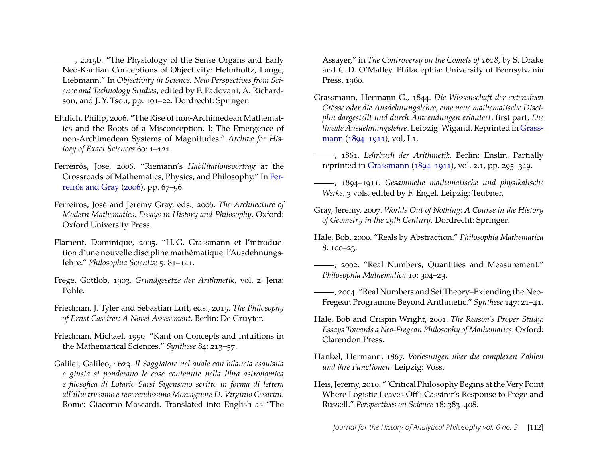<span id="page-17-9"></span>(2015). "The Physiology of the Sense Organs and Early Neo-Kantian Conceptions of Objectivity: Helmholtz, Lange, Liebmann." In *Objectivity in Science: New Perspectives from Science and Technology Studies*, edited by F. Padovani, A. Richardson, and J. Y. Tsou, pp. 101–22. Dordrecht: Springer.

- <span id="page-17-8"></span>Ehrlich, Philip, 2006. "The Rise of non-Archimedean Mathematics and the Roots of a Misconception. I: The Emergence of non-Archimedean Systems of Magnitudes." *Archive for History of Exact Sciences* 60: 1–121.
- <span id="page-17-4"></span>Ferreirós, José, 2006. "Riemann's *Habilitationsvortrag* at the Crossroads of Mathematics, Physics, and Philosophy." In [Fer](#page-17-15)[reirós and Gray](#page-17-15) [\(2006\)](#page-17-15), pp. 67–96.
- <span id="page-17-15"></span>Ferreirós, José and Jeremy Gray, eds., 2006. *The Architecture of Modern Mathematics. Essays in History and Philosophy*. Oxford: Oxford University Press.
- <span id="page-17-3"></span>Flament, Dominique, 2005. "H. G. Grassmann et l'introduction d'une nouvelle discipline mathématique: l'Ausdehnungslehre." *Philosophia Scientiæ* 5: 81–141.
- <span id="page-17-6"></span>Frege, Gottlob, 1903. *Grundgesetze der Arithmetik*, vol. 2. Jena: Pohle.
- <span id="page-17-14"></span>Friedman, J. Tyler and Sebastian Luft, eds., 2015. *The Philosophy of Ernst Cassirer: A Novel Assessment*. Berlin: De Gruyter.
- <span id="page-17-1"></span>Friedman, Michael, 1990. "Kant on Concepts and Intuitions in the Mathematical Sciences." *Synthese* 84: 213–57.
- <span id="page-17-0"></span>Galilei, Galileo, 1623. *Il Saggiatore nel quale con bilancia esquisita e giusta si ponderano le cose contenute nella libra astronomica e filosofica di Lotario Sarsi Sigensano scritto in forma di lettera all'illustrissimo e reverendissimo Monsignore D. Virginio Cesarini*. Rome: Giacomo Mascardi. Translated into English as "The

Assayer," in *The Controversy on the Comets of 1618*, by S. Drake and C. D. O'Malley. Philadephia: University of Pennsylvania Press, 1960.

- Grassmann, Hermann G., 1844. *Die Wissenschaft der extensiven Grösse oder die Ausdehnungslehre, eine neue mathematische Disciplin dargestellt und durch Anwendungen erläutert*, first part, *Die lineale Ausdehnungslehre*. Leipzig: Wigand. Reprinted in [Grass](#page-17-16)[mann](#page-17-16) [\(1894–1911\)](#page-17-16), vol, I.1.
- , 1861. *Lehrbuch der Arithmetik*. Berlin: Enslin. Partially reprinted in [Grassmann](#page-17-16) [\(1894–1911\)](#page-17-16), vol. 2.1, pp. 295–349.
- <span id="page-17-16"></span>, 1894–1911. *Gesammelte mathematische und physikalische Werke*, 3 vols, edited by F. Engel. Leipzig: Teubner.
- <span id="page-17-5"></span>Gray, Jeremy, 2007. *Worlds Out of Nothing: A Course in the History of Geometry in the 19th Century*. Dordrecht: Springer.
- <span id="page-17-11"></span>Hale, Bob, 2000. "Reals by Abstraction." *Philosophia Mathematica* 8: 100–23.
- <span id="page-17-7"></span>, 2002. "Real Numbers, Quantities and Measurement." *Philosophia Mathematica* 10: 304–23.
- <span id="page-17-12"></span>, 2004. "Real Numbers and Set Theory–Extending the Neo-Fregean Programme Beyond Arithmetic." *Synthese* 147: 21–41.
- <span id="page-17-13"></span>Hale, Bob and Crispin Wright, 2001. *The Reason's Proper Study: Essays Towards a Neo-Fregean Philosophy of Mathematics*. Oxford: Clarendon Press.
- <span id="page-17-2"></span>Hankel, Hermann, 1867. *Vorlesungen über die complexen Zahlen und ihre Functionen*. Leipzig: Voss.
- <span id="page-17-10"></span>Heis, Jeremy, 2010. "'Critical Philosophy Begins at the Very Point Where Logistic Leaves Off': Cassirer's Response to Frege and Russell." *Perspectives on Science* 18: 383–408.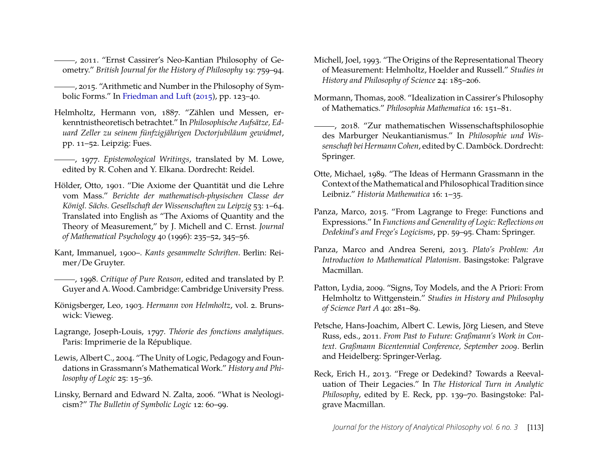<span id="page-18-0"></span>, 2011. "Ernst Cassirer's Neo-Kantian Philosophy of Geometry." *British Journal for the History of Philosophy* 19: 759–94.

<span id="page-18-2"></span>, 2015. "Arithmetic and Number in the Philosophy of Symbolic Forms." In [Friedman and Luft](#page-17-14) [\(2015\)](#page-17-14), pp. 123–40.

<span id="page-18-12"></span>Helmholtz, Hermann von, 1887. "Zählen und Messen, erkenntnistheoretisch betrachtet." In *Philosophische Aufsätze, Eduard Zeller zu seinem fünfzigjährigen Doctorjubiläum gewidmet*, pp. 11–52. Leipzig: Fues.

<span id="page-18-15"></span>, 1977. *Epistemological Writings*, translated by M. Lowe, edited by R. Cohen and Y. Elkana. Dordrecht: Reidel.

- <span id="page-18-11"></span>Hölder, Otto, 1901. "Die Axiome der Quantität und die Lehre vom Mass." *Berichte der mathematisch-physischen Classe der Königl. Sächs. Gesellschaft der Wissenschaften zu Leipzig* 53: 1–64. Translated into English as "The Axioms of Quantity and the Theory of Measurement," by J. Michell and C. Ernst. *Journal of Mathematical Psychology* 40 (1996): 235–52, 345–56.
- <span id="page-18-5"></span>Kant, Immanuel, 1900–. *Kants gesammelte Schriften*. Berlin: Reimer/De Gruyter.
- <span id="page-18-4"></span>, 1998. *Critique of Pure Reason*, edited and translated by P. Guyer and A. Wood. Cambridge: Cambridge University Press.
- <span id="page-18-14"></span>Königsberger, Leo, 1903. *Hermann von Helmholtz*, vol. 2. Brunswick: Vieweg.
- <span id="page-18-9"></span>Lagrange, Joseph-Louis, 1797. *Théorie des fonctions analytiques*. Paris: Imprimerie de la République.
- <span id="page-18-7"></span>Lewis, Albert C., 2004. "The Unity of Logic, Pedagogy and Foundations in Grassmann's Mathematical Work." *History and Philosophy of Logic* 25: 15–36.
- <span id="page-18-19"></span>Linsky, Bernard and Edward N. Zalta, 2006. "What is Neologicism?" *The Bulletin of Symbolic Logic* 12: 60–99.
- <span id="page-18-13"></span>Michell, Joel, 1993. "The Origins of the Representational Theory of Measurement: Helmholtz, Hoelder and Russell." *Studies in History and Philosophy of Science* 24: 185–206.
- <span id="page-18-1"></span>Mormann, Thomas, 2008. "Idealization in Cassirer's Philosophy of Mathematics." *Philosophia Mathematica* 16: 151–81.
- <span id="page-18-17"></span>, 2018. "Zur mathematischen Wissenschaftsphilosophie des Marburger Neukantianismus." In *Philosophie und Wissenschaft bei Hermann Cohen*, edited by C. Damböck. Dordrecht: Springer.
- <span id="page-18-8"></span>Otte, Michael, 1989. "The Ideas of Hermann Grassmann in the Context of theMathematical and Philosophical Tradition since Leibniz." *Historia Mathematica* 16: 1–35.
- <span id="page-18-10"></span>Panza, Marco, 2015. "From Lagrange to Frege: Functions and Expressions." In *Functions and Generality of Logic: Reflections on Dedekind's and Frege's Logicisms*, pp. 59–95. Cham: Springer.
- <span id="page-18-3"></span>Panza, Marco and Andrea Sereni, 2013. *Plato's Problem: An Introduction to Mathematical Platonism*. Basingstoke: Palgrave Macmillan.
- <span id="page-18-16"></span>Patton, Lydia, 2009. "Signs, Toy Models, and the A Priori: From Helmholtz to Wittgenstein." *Studies in History and Philosophy of Science Part A* 40: 281–89.
- <span id="page-18-6"></span>Petsche, Hans-Joachim, Albert C. Lewis, Jörg Liesen, and Steve Russ, eds., 2011. *From Past to Future: Graßmann's Work in Context. Graßmann Bicentennial Conference, September 2009*. Berlin and Heidelberg: Springer-Verlag.
- <span id="page-18-18"></span>Reck, Erich H., 2013. "Frege or Dedekind? Towards a Reevaluation of Their Legacies." In *The Historical Turn in Analytic Philosophy*, edited by E. Reck, pp. 139–70. Basingstoke: Palgrave Macmillan.